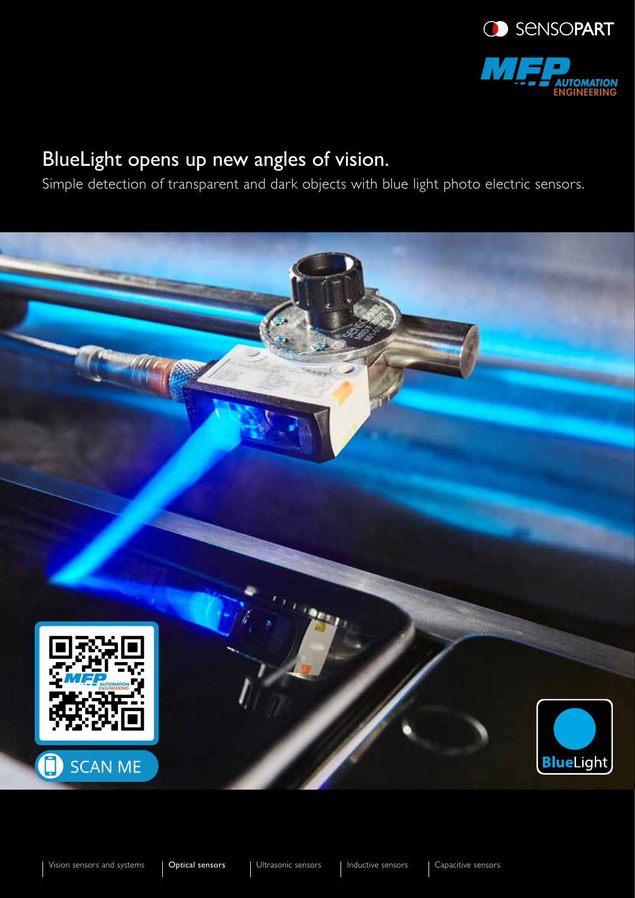

# BlueLight opens up new angles of vision.

Simple detection of transparent and dark objects with blue light photo electric sensors.

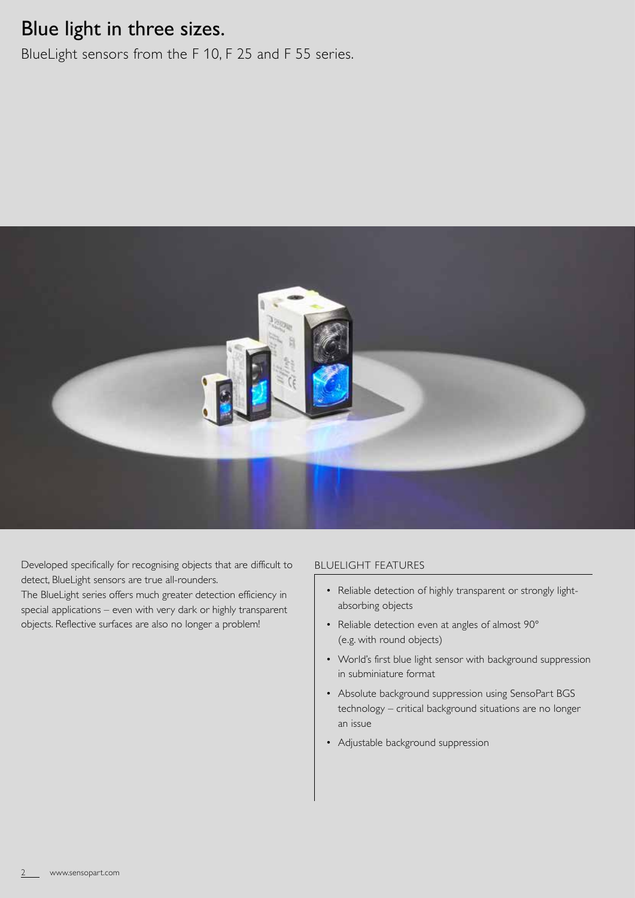## Blue light in three sizes.

BlueLight sensors from the F 10, F 25 and F 55 series.



Developed specifically for recognising objects that are difficult to detect, BlueLight sensors are true all-rounders.

The BlueLight series offers much greater detection efficiency in special applications – even with very dark or highly transparent objects. Reflective surfaces are also no longer a problem!

## BLUELIGHT FEATURES

- Reliable detection of highly transparent or strongly lightabsorbing objects
- Reliable detection even at angles of almost 90° (e.g. with round objects)
- World's first blue light sensor with background suppression in subminiature format
- Absolute background suppression using SensoPart BGS technology – critical background situations are no longer an issue
- Adjustable background suppression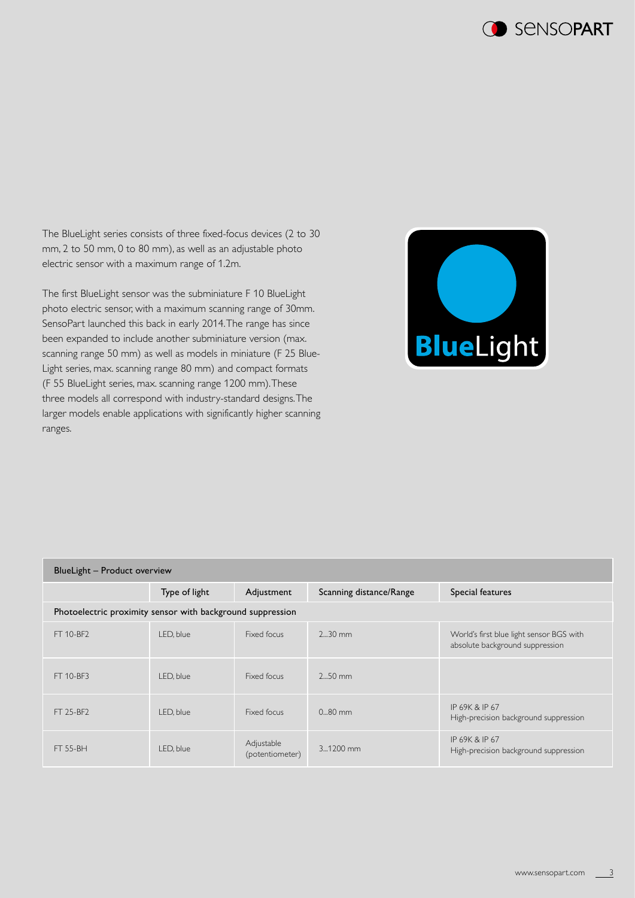

The BlueLight series consists of three fixed-focus devices (2 to 30 mm, 2 to 50 mm, 0 to 80 mm), as well as an adjustable photo electric sensor with a maximum range of 1.2m.

The first BlueLight sensor was the subminiature F 10 BlueLight photo electric sensor, with a maximum scanning range of 30mm. SensoPart launched this back in early 2014. The range has since been expanded to include another subminiature version (max. scanning range 50 mm) as well as models in miniature (F 25 Blue-Light series, max. scanning range 80 mm) and compact formats (F 55 BlueLight series, max. scanning range 1200 mm). These three models all correspond with industry-standard designs. The larger models enable applications with significantly higher scanning ranges.



| BlueLight - Product overview                               |               |                               |                         |                                                                             |
|------------------------------------------------------------|---------------|-------------------------------|-------------------------|-----------------------------------------------------------------------------|
|                                                            | Type of light | Adjustment                    | Scanning distance/Range | Special features                                                            |
| Photoelectric proximity sensor with background suppression |               |                               |                         |                                                                             |
| FT 10-BF2                                                  | LED, blue     | Fixed focus                   | $230$ mm                | World's first blue light sensor BGS with<br>absolute background suppression |
| FT 10-BF3                                                  | LED, blue     | Fixed focus                   | $250$ mm                |                                                                             |
| FT 25-BF2                                                  | LED, blue     | Fixed focus                   | $0.80 \text{ mm}$       | IP 69K & IP 67<br>High-precision background suppression                     |
| <b>FT 55-BH</b>                                            | LED, blue     | Adjustable<br>(potentiometer) | $3.1200$ mm             | IP 69K & IP 67<br>High-precision background suppression                     |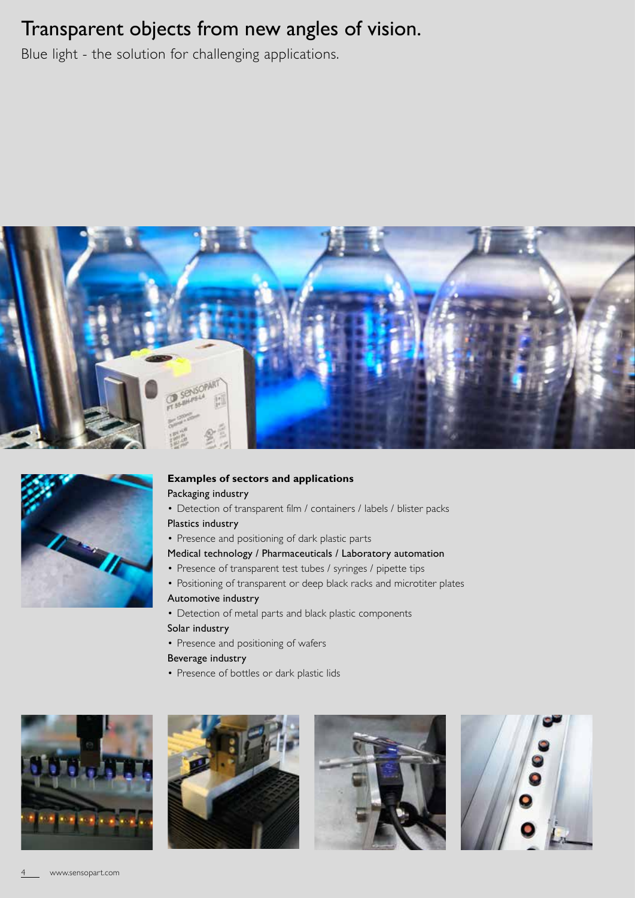# Transparent objects from new angles of vision.

Blue light - the solution for challenging applications.





## **Examples of sectors and applications**

## Packaging industry

- Detection of transparent film / containers / labels / blister packs
- Plastics industry
- Presence and positioning of dark plastic parts

### Medical technology / Pharmaceuticals / Laboratory automation

- Presence of transparent test tubes / syringes / pipette tips
- Positioning of transparent or deep black racks and microtiter plates
- Automotive industry
- Detection of metal parts and black plastic components Solar industry
- Presence and positioning of wafers
- Beverage industry
- Presence of bottles or dark plastic lids







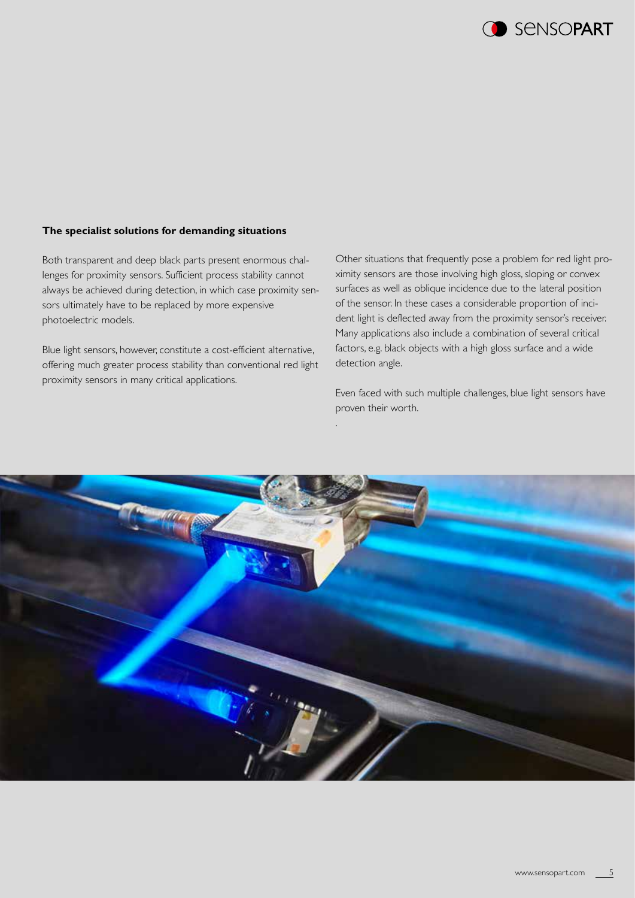**CO** SENSOPART

#### **The specialist solutions for demanding situations**

Both transparent and deep black parts present enormous challenges for proximity sensors. Sufficient process stability cannot always be achieved during detection, in which case proximity sensors ultimately have to be replaced by more expensive photoelectric models.

Blue light sensors, however, constitute a cost-efficient alternative, offering much greater process stability than conventional red light proximity sensors in many critical applications.

Other situations that frequently pose a problem for red light proximity sensors are those involving high gloss, sloping or convex surfaces as well as oblique incidence due to the lateral position of the sensor. In these cases a considerable proportion of incident light is deflected away from the proximity sensor's receiver. Many applications also include a combination of several critical factors, e.g. black objects with a high gloss surface and a wide detection angle.

Even faced with such multiple challenges, blue light sensors have proven their worth.



.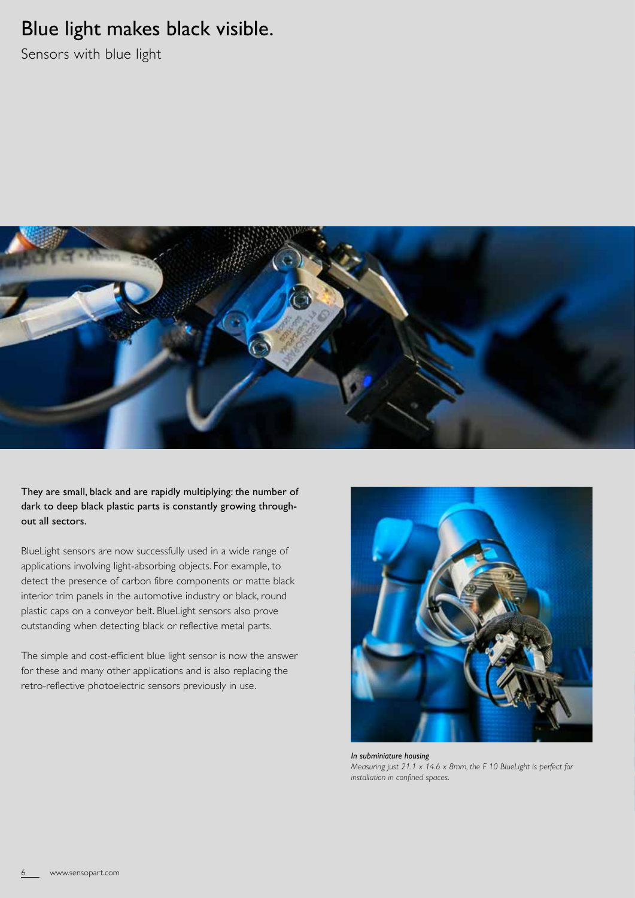## Blue light makes black visible.

Sensors with blue light



They are small, black and are rapidly multiplying: the number of dark to deep black plastic parts is constantly growing throughout all sectors.

BlueLight sensors are now successfully used in a wide range of applications involving light-absorbing objects. For example, to detect the presence of carbon fibre components or matte black interior trim panels in the automotive industry or black, round plastic caps on a conveyor belt. BlueLight sensors also prove outstanding when detecting black or reflective metal parts.

The simple and cost-efficient blue light sensor is now the answer for these and many other applications and is also replacing the retro-reflective photoelectric sensors previously in use.



*In subminiature housing Measuring just 21.1 x 14.6 x 8mm, the F 10 BlueLight is perfect for installation in confined spaces.*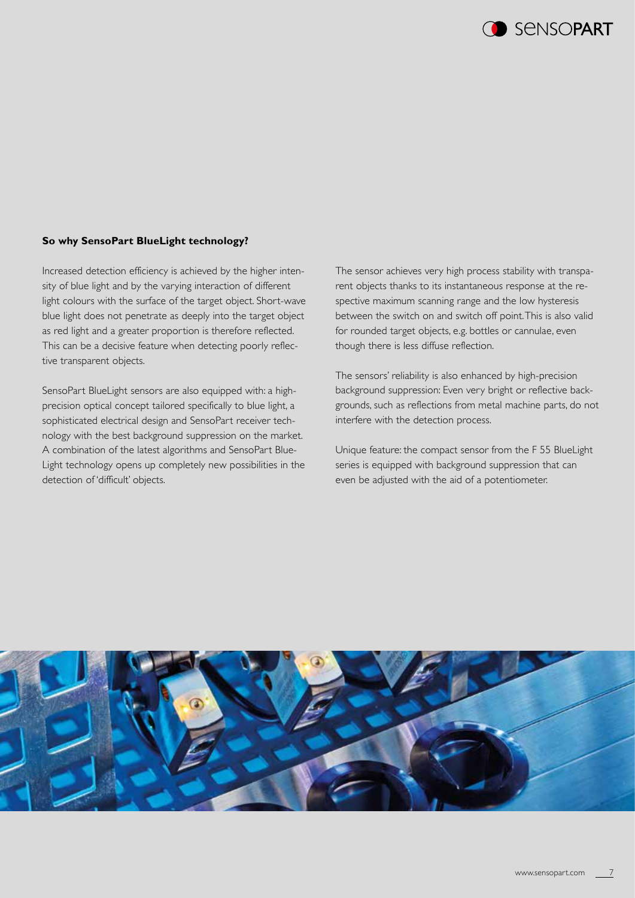

#### **So why SensoPart BlueLight technology?**

Increased detection efficiency is achieved by the higher intensity of blue light and by the varying interaction of different light colours with the surface of the target object. Short-wave blue light does not penetrate as deeply into the target object as red light and a greater proportion is therefore reflected. This can be a decisive feature when detecting poorly reflective transparent objects.

SensoPart BlueLight sensors are also equipped with: a highprecision optical concept tailored specifically to blue light, a sophisticated electrical design and SensoPart receiver technology with the best background suppression on the market. A combination of the latest algorithms and SensoPart Blue-Light technology opens up completely new possibilities in the detection of 'difficult' objects.

The sensor achieves very high process stability with transparent objects thanks to its instantaneous response at the respective maximum scanning range and the low hysteresis between the switch on and switch off point. This is also valid for rounded target objects, e.g. bottles or cannulae, even though there is less diffuse reflection.

The sensors' reliability is also enhanced by high-precision background suppression: Even very bright or reflective backgrounds, such as reflections from metal machine parts, do not interfere with the detection process.

Unique feature: the compact sensor from the F 55 BlueLight series is equipped with background suppression that can even be adjusted with the aid of a potentiometer.